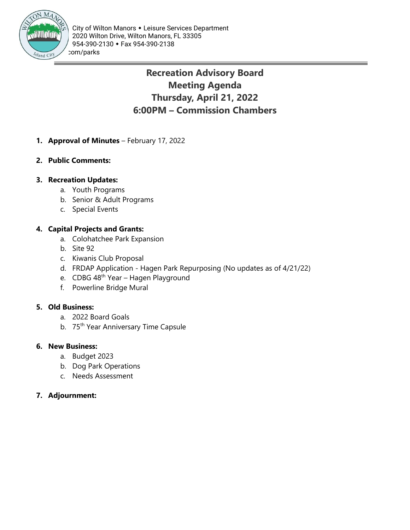

# **Recreation Advisory Board Meeting Agenda Thursday, April 21, 2022 6:00PM – Commission Chambers**

- **1. Approval of Minutes** February 17, 2022
- **2. Public Comments:**

### **3. Recreation Updates:**

- a. Youth Programs
- b. Senior & Adult Programs
- c. Special Events

### **4. Capital Projects and Grants:**

- a. Colohatchee Park Expansion
- b. Site 92
- c. Kiwanis Club Proposal
- d. FRDAP Application Hagen Park Repurposing (No updates as of 4/21/22)
- e. CDBG 48<sup>th</sup> Year Hagen Playground
- f. Powerline Bridge Mural

#### **5. Old Business:**

- a. 2022 Board Goals
- b. 75<sup>th</sup> Year Anniversary Time Capsule

#### **6. New Business:**

- a. Budget 2023
- b. Dog Park Operations
- c. Needs Assessment

### **7. Adjournment:**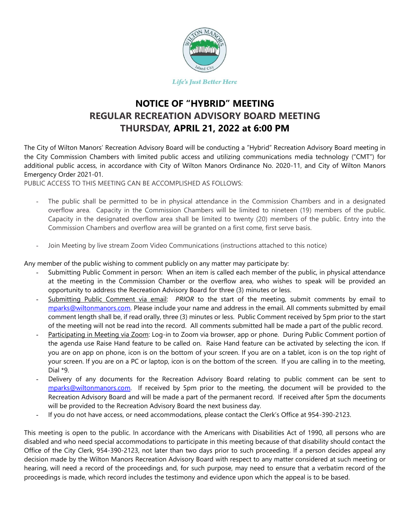

### **NOTICE OF "HYBRID" MEETING REGULAR RECREATION ADVISORY BOARD MEETING THURSDAY, APRIL 21, 2022 at 6:00 PM**

The City of Wilton Manors' Recreation Advisory Board will be conducting a "Hybrid" Recreation Advisory Board meeting in the City Commission Chambers with limited public access and utilizing communications media technology ("CMT") for additional public access, in accordance with City of Wilton Manors Ordinance No. 2020-11, and City of Wilton Manors Emergency Order 2021-01.

PUBLIC ACCESS TO THIS MEETING CAN BE ACCOMPLISHED AS FOLLOWS:

- The public shall be permitted to be in physical attendance in the Commission Chambers and in a designated overflow area. Capacity in the Commission Chambers will be limited to nineteen (19) members of the public. Capacity in the designated overflow area shall be limited to twenty (20) members of the public. Entry into the Commission Chambers and overflow area will be granted on a first come, first serve basis.
- Join Meeting by live stream Zoom Video Communications (instructions attached to this notice)

Any member of the public wishing to comment publicly on any matter may participate by:

- Submitting Public Comment in person: When an item is called each member of the public, in physical attendance at the meeting in the Commission Chamber or the overflow area, who wishes to speak will be provided an opportunity to address the Recreation Advisory Board for three (3) minutes or less.
- Submitting Public Comment via email: *PRIOR* to the start of the meeting, submit comments by email to [mparks@wiltonmanors.com.](mailto:mparks@wiltonmanors.com) Please include your name and address in the email. All comments submitted by email comment length shall be, if read orally, three (3) minutes or less. Public Comment received by 5pm prior to the start of the meeting will not be read into the record. All comments submitted hall be made a part of the public record.
- Participating in Meeting via Zoom: Log-in to Zoom via browser, app or phone. During Public Comment portion of the agenda use Raise Hand feature to be called on. Raise Hand feature can be activated by selecting the icon. If you are on app on phone, icon is on the bottom of your screen. If you are on a tablet, icon is on the top right of your screen. If you are on a PC or laptop, icon is on the bottom of the screen. If you are calling in to the meeting, Dial \*9.
- Delivery of any documents for the Recreation Advisory Board relating to public comment can be sent to [mparks@wiltonmanors.com.](mailto:mparks@wiltonmanors.com) If received by 5pm prior to the meeting, the document will be provided to the Recreation Advisory Board and will be made a part of the permanent record. If received after 5pm the documents will be provided to the Recreation Advisory Board the next business day.
- If you do not have access, or need accommodations, please contact the Clerk's Office at 954-390-2123.

This meeting is open to the public. In accordance with the Americans with Disabilities Act of 1990, all persons who are disabled and who need special accommodations to participate in this meeting because of that disability should contact the Office of the City Clerk, 954-390-2123, not later than two days prior to such proceeding. If a person decides appeal any decision made by the Wilton Manors Recreation Advisory Board with respect to any matter considered at such meeting or hearing, will need a record of the proceedings and, for such purpose, may need to ensure that a verbatim record of the proceedings is made, which record includes the testimony and evidence upon which the appeal is to be based.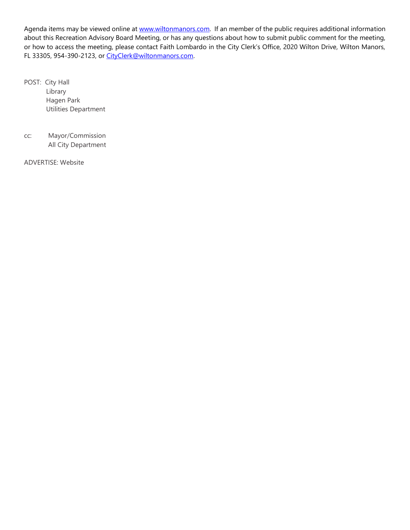Agenda items may be viewed online at [www.wiltonmanors.com.](http://www.wiltonmanors.com/) If an member of the public requires additional information about this Recreation Advisory Board Meeting, or has any questions about how to submit public comment for the meeting, or how to access the meeting, please contact Faith Lombardo in the City Clerk's Office, 2020 Wilton Drive, Wilton Manors, FL 33305, 954-390-2123, or [CityClerk@wiltonmanors.com.](mailto:CityClerk@wiltonmanors.com)

POST: City Hall Library Hagen Park Utilities Department

cc: Mayor/Commission All City Department

ADVERTISE: Website